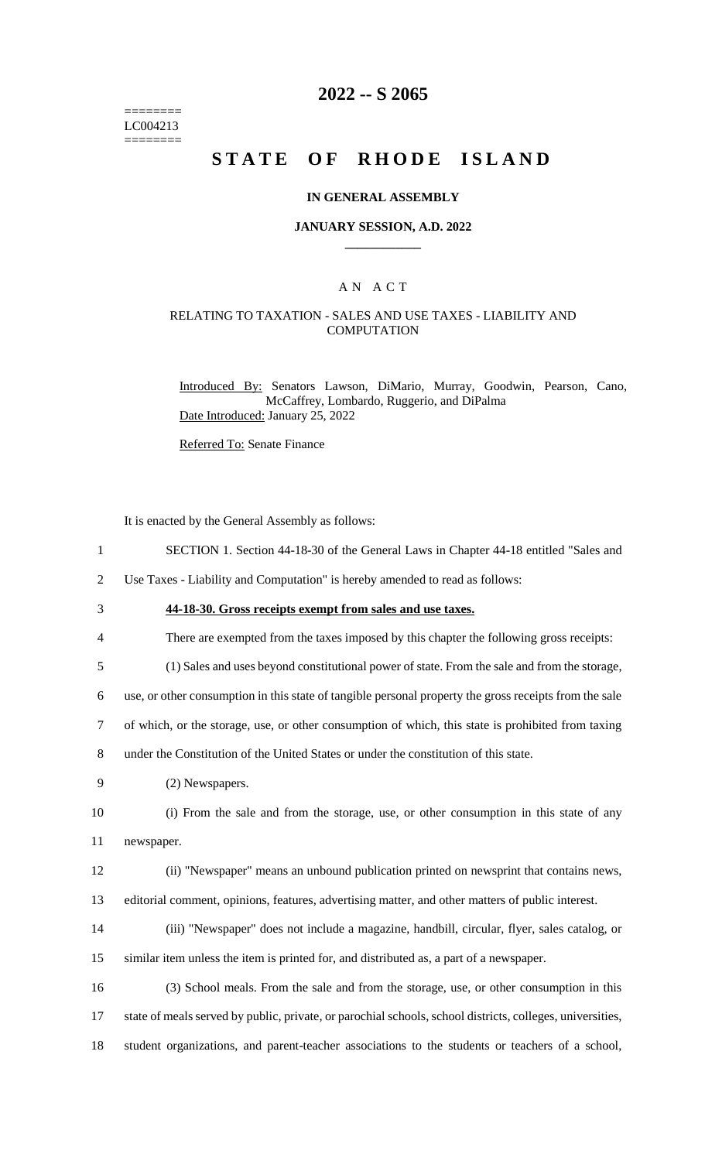======== LC004213 ========

## **2022 -- S 2065**

# **STATE OF RHODE ISLAND**

#### **IN GENERAL ASSEMBLY**

#### **JANUARY SESSION, A.D. 2022 \_\_\_\_\_\_\_\_\_\_\_\_**

### A N A C T

### RELATING TO TAXATION - SALES AND USE TAXES - LIABILITY AND **COMPUTATION**

Introduced By: Senators Lawson, DiMario, Murray, Goodwin, Pearson, Cano, McCaffrey, Lombardo, Ruggerio, and DiPalma Date Introduced: January 25, 2022

Referred To: Senate Finance

It is enacted by the General Assembly as follows:

1 SECTION 1. Section 44-18-30 of the General Laws in Chapter 44-18 entitled "Sales and

2 Use Taxes - Liability and Computation" is hereby amended to read as follows:

## 3 **44-18-30. Gross receipts exempt from sales and use taxes.**

4 There are exempted from the taxes imposed by this chapter the following gross receipts:

5 (1) Sales and uses beyond constitutional power of state. From the sale and from the storage,

6 use, or other consumption in this state of tangible personal property the gross receipts from the sale

7 of which, or the storage, use, or other consumption of which, this state is prohibited from taxing

8 under the Constitution of the United States or under the constitution of this state.

9 (2) Newspapers.

10 (i) From the sale and from the storage, use, or other consumption in this state of any 11 newspaper.

- 12 (ii) "Newspaper" means an unbound publication printed on newsprint that contains news,
- 13 editorial comment, opinions, features, advertising matter, and other matters of public interest.
- 14 (iii) "Newspaper" does not include a magazine, handbill, circular, flyer, sales catalog, or 15 similar item unless the item is printed for, and distributed as, a part of a newspaper.
- 16 (3) School meals. From the sale and from the storage, use, or other consumption in this 17 state of meals served by public, private, or parochial schools, school districts, colleges, universities, 18 student organizations, and parent-teacher associations to the students or teachers of a school,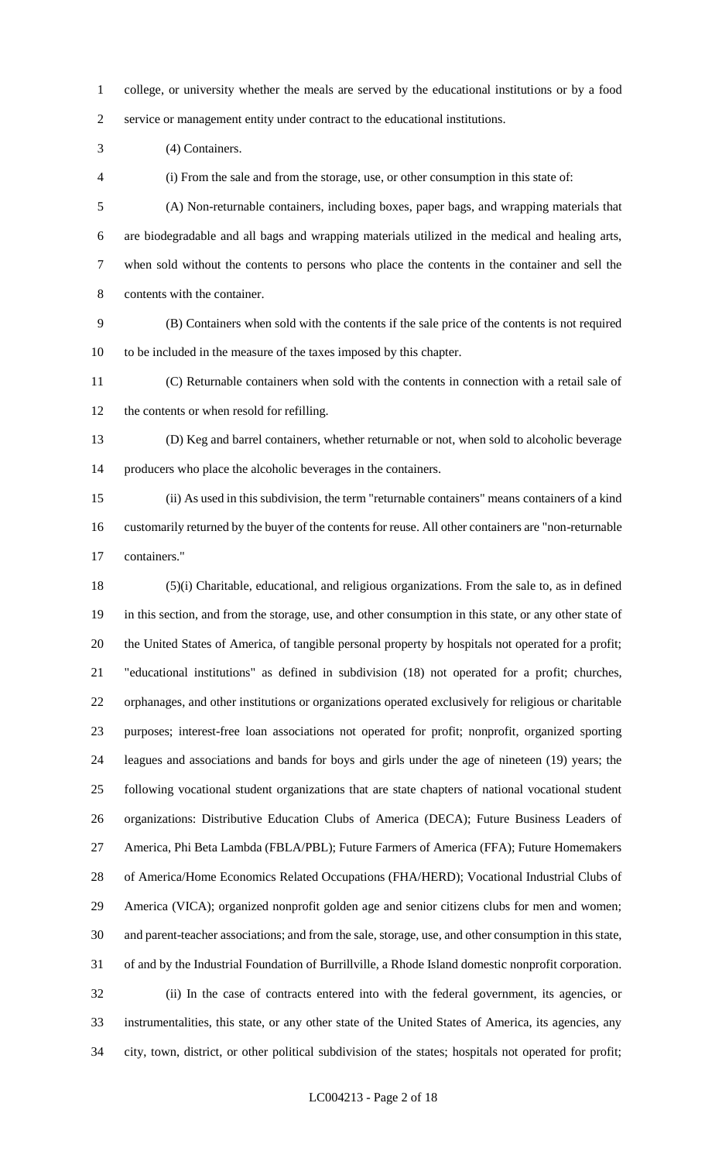college, or university whether the meals are served by the educational institutions or by a food service or management entity under contract to the educational institutions.

(4) Containers.

(i) From the sale and from the storage, use, or other consumption in this state of:

 (A) Non-returnable containers, including boxes, paper bags, and wrapping materials that are biodegradable and all bags and wrapping materials utilized in the medical and healing arts, when sold without the contents to persons who place the contents in the container and sell the contents with the container.

 (B) Containers when sold with the contents if the sale price of the contents is not required to be included in the measure of the taxes imposed by this chapter.

 (C) Returnable containers when sold with the contents in connection with a retail sale of the contents or when resold for refilling.

 (D) Keg and barrel containers, whether returnable or not, when sold to alcoholic beverage producers who place the alcoholic beverages in the containers.

 (ii) As used in this subdivision, the term "returnable containers" means containers of a kind customarily returned by the buyer of the contents for reuse. All other containers are "non-returnable containers."

 (5)(i) Charitable, educational, and religious organizations. From the sale to, as in defined in this section, and from the storage, use, and other consumption in this state, or any other state of the United States of America, of tangible personal property by hospitals not operated for a profit; "educational institutions" as defined in subdivision (18) not operated for a profit; churches, orphanages, and other institutions or organizations operated exclusively for religious or charitable purposes; interest-free loan associations not operated for profit; nonprofit, organized sporting leagues and associations and bands for boys and girls under the age of nineteen (19) years; the following vocational student organizations that are state chapters of national vocational student organizations: Distributive Education Clubs of America (DECA); Future Business Leaders of America, Phi Beta Lambda (FBLA/PBL); Future Farmers of America (FFA); Future Homemakers of America/Home Economics Related Occupations (FHA/HERD); Vocational Industrial Clubs of America (VICA); organized nonprofit golden age and senior citizens clubs for men and women; and parent-teacher associations; and from the sale, storage, use, and other consumption in this state, of and by the Industrial Foundation of Burrillville, a Rhode Island domestic nonprofit corporation. (ii) In the case of contracts entered into with the federal government, its agencies, or instrumentalities, this state, or any other state of the United States of America, its agencies, any city, town, district, or other political subdivision of the states; hospitals not operated for profit;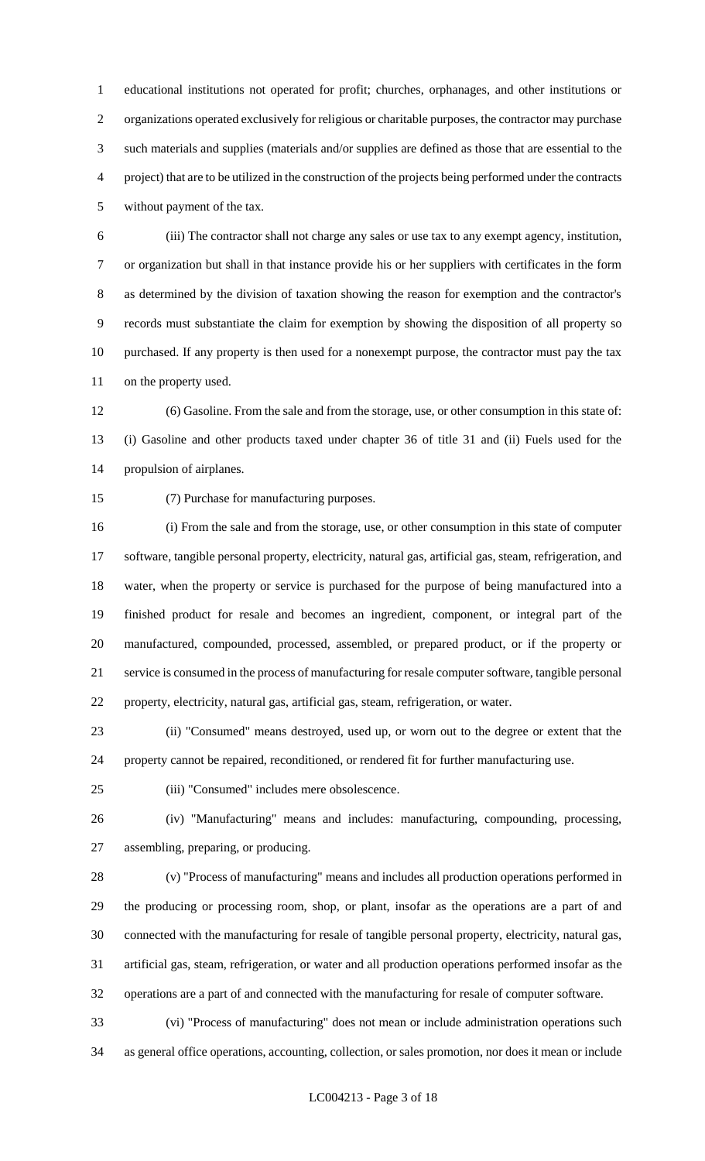educational institutions not operated for profit; churches, orphanages, and other institutions or organizations operated exclusively for religious or charitable purposes, the contractor may purchase such materials and supplies (materials and/or supplies are defined as those that are essential to the project) that are to be utilized in the construction of the projects being performed under the contracts without payment of the tax.

 (iii) The contractor shall not charge any sales or use tax to any exempt agency, institution, or organization but shall in that instance provide his or her suppliers with certificates in the form as determined by the division of taxation showing the reason for exemption and the contractor's records must substantiate the claim for exemption by showing the disposition of all property so purchased. If any property is then used for a nonexempt purpose, the contractor must pay the tax on the property used.

 (6) Gasoline. From the sale and from the storage, use, or other consumption in this state of: (i) Gasoline and other products taxed under chapter 36 of title 31 and (ii) Fuels used for the propulsion of airplanes.

(7) Purchase for manufacturing purposes.

 (i) From the sale and from the storage, use, or other consumption in this state of computer software, tangible personal property, electricity, natural gas, artificial gas, steam, refrigeration, and water, when the property or service is purchased for the purpose of being manufactured into a finished product for resale and becomes an ingredient, component, or integral part of the manufactured, compounded, processed, assembled, or prepared product, or if the property or service is consumed in the process of manufacturing for resale computer software, tangible personal property, electricity, natural gas, artificial gas, steam, refrigeration, or water.

 (ii) "Consumed" means destroyed, used up, or worn out to the degree or extent that the property cannot be repaired, reconditioned, or rendered fit for further manufacturing use.

(iii) "Consumed" includes mere obsolescence.

 (iv) "Manufacturing" means and includes: manufacturing, compounding, processing, assembling, preparing, or producing.

 (v) "Process of manufacturing" means and includes all production operations performed in the producing or processing room, shop, or plant, insofar as the operations are a part of and connected with the manufacturing for resale of tangible personal property, electricity, natural gas, artificial gas, steam, refrigeration, or water and all production operations performed insofar as the operations are a part of and connected with the manufacturing for resale of computer software.

 (vi) "Process of manufacturing" does not mean or include administration operations such as general office operations, accounting, collection, or sales promotion, nor does it mean or include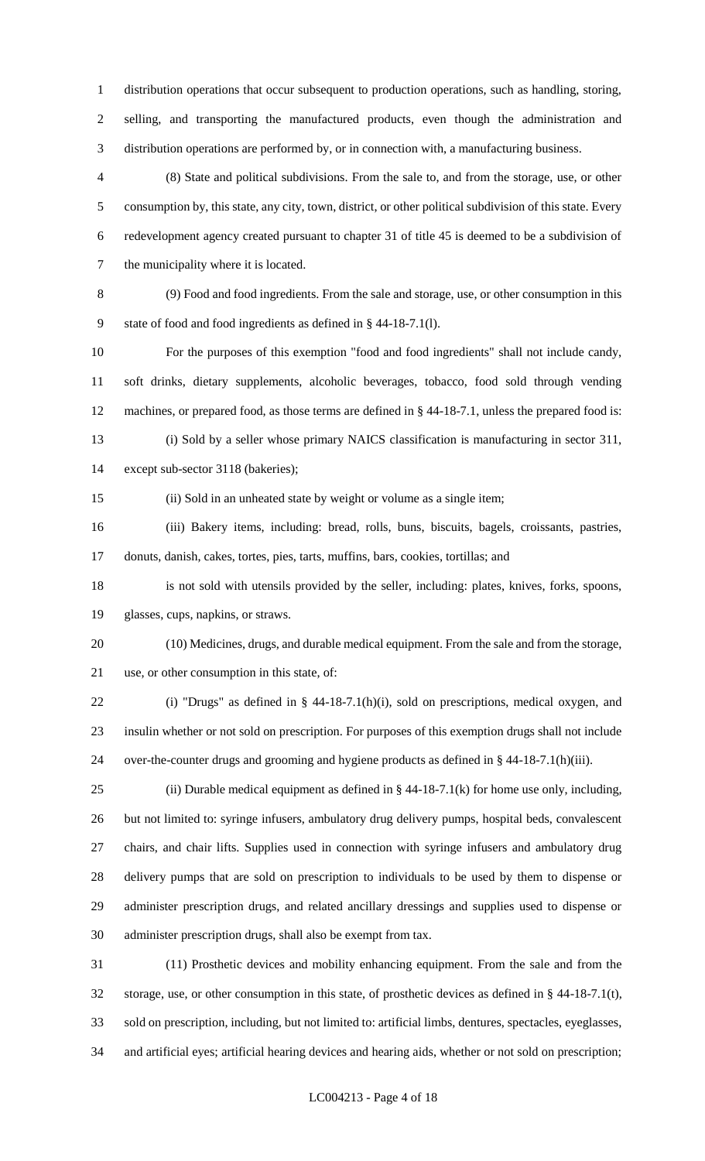distribution operations that occur subsequent to production operations, such as handling, storing, selling, and transporting the manufactured products, even though the administration and distribution operations are performed by, or in connection with, a manufacturing business.

 (8) State and political subdivisions. From the sale to, and from the storage, use, or other consumption by, this state, any city, town, district, or other political subdivision of this state. Every redevelopment agency created pursuant to chapter 31 of title 45 is deemed to be a subdivision of the municipality where it is located.

 (9) Food and food ingredients. From the sale and storage, use, or other consumption in this state of food and food ingredients as defined in § 44-18-7.1(l).

 For the purposes of this exemption "food and food ingredients" shall not include candy, soft drinks, dietary supplements, alcoholic beverages, tobacco, food sold through vending machines, or prepared food, as those terms are defined in § 44-18-7.1, unless the prepared food is: (i) Sold by a seller whose primary NAICS classification is manufacturing in sector 311,

except sub-sector 3118 (bakeries);

(ii) Sold in an unheated state by weight or volume as a single item;

 (iii) Bakery items, including: bread, rolls, buns, biscuits, bagels, croissants, pastries, donuts, danish, cakes, tortes, pies, tarts, muffins, bars, cookies, tortillas; and

 is not sold with utensils provided by the seller, including: plates, knives, forks, spoons, glasses, cups, napkins, or straws.

 (10) Medicines, drugs, and durable medical equipment. From the sale and from the storage, use, or other consumption in this state, of:

 (i) "Drugs" as defined in § 44-18-7.1(h)(i), sold on prescriptions, medical oxygen, and insulin whether or not sold on prescription. For purposes of this exemption drugs shall not include over-the-counter drugs and grooming and hygiene products as defined in § 44-18-7.1(h)(iii).

25 (ii) Durable medical equipment as defined in  $\S$  44-18-7.1(k) for home use only, including, but not limited to: syringe infusers, ambulatory drug delivery pumps, hospital beds, convalescent chairs, and chair lifts. Supplies used in connection with syringe infusers and ambulatory drug delivery pumps that are sold on prescription to individuals to be used by them to dispense or administer prescription drugs, and related ancillary dressings and supplies used to dispense or administer prescription drugs, shall also be exempt from tax.

 (11) Prosthetic devices and mobility enhancing equipment. From the sale and from the storage, use, or other consumption in this state, of prosthetic devices as defined in § 44-18-7.1(t), sold on prescription, including, but not limited to: artificial limbs, dentures, spectacles, eyeglasses, and artificial eyes; artificial hearing devices and hearing aids, whether or not sold on prescription;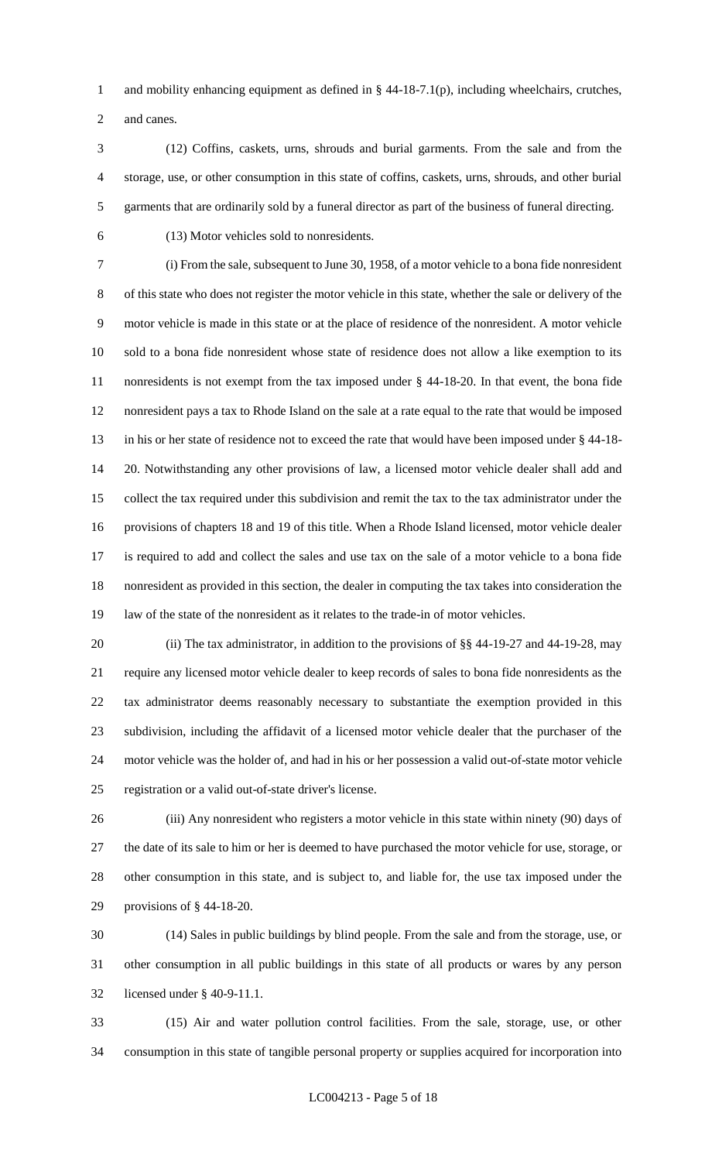and mobility enhancing equipment as defined in § 44-18-7.1(p), including wheelchairs, crutches,

and canes.

 (12) Coffins, caskets, urns, shrouds and burial garments. From the sale and from the storage, use, or other consumption in this state of coffins, caskets, urns, shrouds, and other burial garments that are ordinarily sold by a funeral director as part of the business of funeral directing.

(13) Motor vehicles sold to nonresidents.

 (i) From the sale, subsequent to June 30, 1958, of a motor vehicle to a bona fide nonresident of this state who does not register the motor vehicle in this state, whether the sale or delivery of the motor vehicle is made in this state or at the place of residence of the nonresident. A motor vehicle sold to a bona fide nonresident whose state of residence does not allow a like exemption to its nonresidents is not exempt from the tax imposed under § 44-18-20. In that event, the bona fide nonresident pays a tax to Rhode Island on the sale at a rate equal to the rate that would be imposed in his or her state of residence not to exceed the rate that would have been imposed under § 44-18- 20. Notwithstanding any other provisions of law, a licensed motor vehicle dealer shall add and collect the tax required under this subdivision and remit the tax to the tax administrator under the provisions of chapters 18 and 19 of this title. When a Rhode Island licensed, motor vehicle dealer is required to add and collect the sales and use tax on the sale of a motor vehicle to a bona fide nonresident as provided in this section, the dealer in computing the tax takes into consideration the law of the state of the nonresident as it relates to the trade-in of motor vehicles.

20 (ii) The tax administrator, in addition to the provisions of §§ 44-19-27 and 44-19-28, may require any licensed motor vehicle dealer to keep records of sales to bona fide nonresidents as the tax administrator deems reasonably necessary to substantiate the exemption provided in this subdivision, including the affidavit of a licensed motor vehicle dealer that the purchaser of the motor vehicle was the holder of, and had in his or her possession a valid out-of-state motor vehicle registration or a valid out-of-state driver's license.

 (iii) Any nonresident who registers a motor vehicle in this state within ninety (90) days of the date of its sale to him or her is deemed to have purchased the motor vehicle for use, storage, or other consumption in this state, and is subject to, and liable for, the use tax imposed under the provisions of § 44-18-20.

 (14) Sales in public buildings by blind people. From the sale and from the storage, use, or other consumption in all public buildings in this state of all products or wares by any person licensed under § 40-9-11.1.

 (15) Air and water pollution control facilities. From the sale, storage, use, or other consumption in this state of tangible personal property or supplies acquired for incorporation into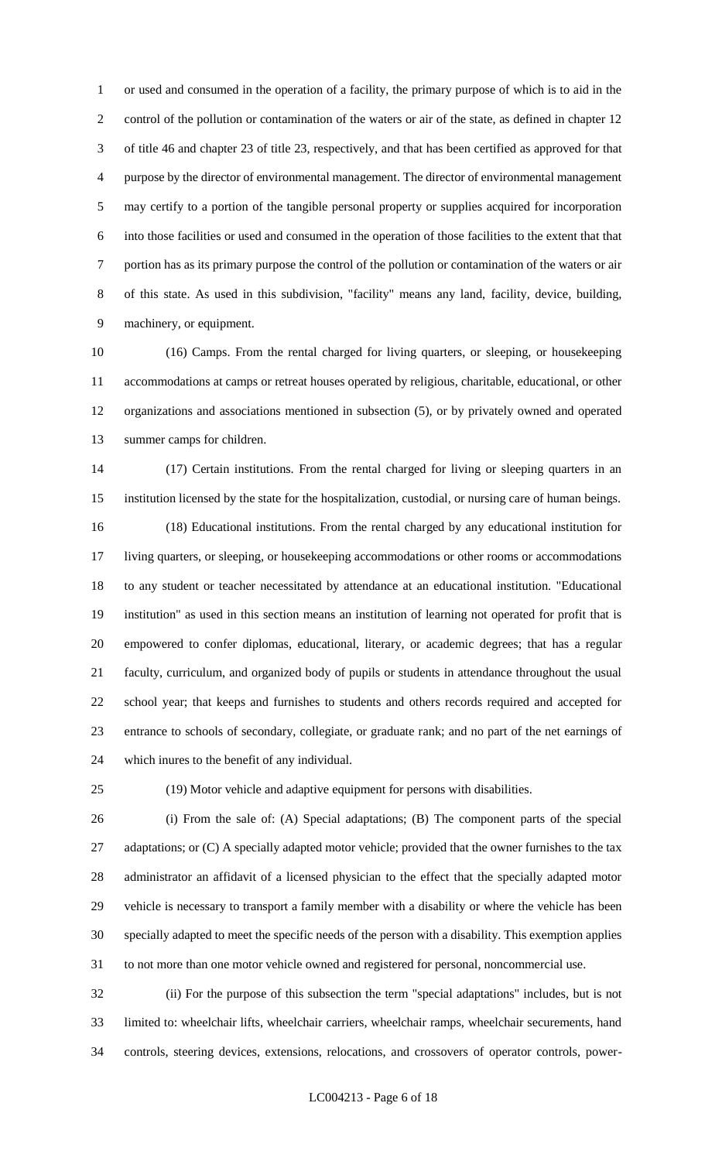or used and consumed in the operation of a facility, the primary purpose of which is to aid in the control of the pollution or contamination of the waters or air of the state, as defined in chapter 12 of title 46 and chapter 23 of title 23, respectively, and that has been certified as approved for that purpose by the director of environmental management. The director of environmental management may certify to a portion of the tangible personal property or supplies acquired for incorporation into those facilities or used and consumed in the operation of those facilities to the extent that that portion has as its primary purpose the control of the pollution or contamination of the waters or air of this state. As used in this subdivision, "facility" means any land, facility, device, building, machinery, or equipment.

 (16) Camps. From the rental charged for living quarters, or sleeping, or housekeeping accommodations at camps or retreat houses operated by religious, charitable, educational, or other organizations and associations mentioned in subsection (5), or by privately owned and operated summer camps for children.

 (17) Certain institutions. From the rental charged for living or sleeping quarters in an institution licensed by the state for the hospitalization, custodial, or nursing care of human beings. (18) Educational institutions. From the rental charged by any educational institution for living quarters, or sleeping, or housekeeping accommodations or other rooms or accommodations to any student or teacher necessitated by attendance at an educational institution. "Educational institution" as used in this section means an institution of learning not operated for profit that is empowered to confer diplomas, educational, literary, or academic degrees; that has a regular faculty, curriculum, and organized body of pupils or students in attendance throughout the usual school year; that keeps and furnishes to students and others records required and accepted for entrance to schools of secondary, collegiate, or graduate rank; and no part of the net earnings of which inures to the benefit of any individual.

(19) Motor vehicle and adaptive equipment for persons with disabilities.

 (i) From the sale of: (A) Special adaptations; (B) The component parts of the special 27 adaptations; or (C) A specially adapted motor vehicle; provided that the owner furnishes to the tax administrator an affidavit of a licensed physician to the effect that the specially adapted motor vehicle is necessary to transport a family member with a disability or where the vehicle has been specially adapted to meet the specific needs of the person with a disability. This exemption applies to not more than one motor vehicle owned and registered for personal, noncommercial use.

 (ii) For the purpose of this subsection the term "special adaptations" includes, but is not limited to: wheelchair lifts, wheelchair carriers, wheelchair ramps, wheelchair securements, hand controls, steering devices, extensions, relocations, and crossovers of operator controls, power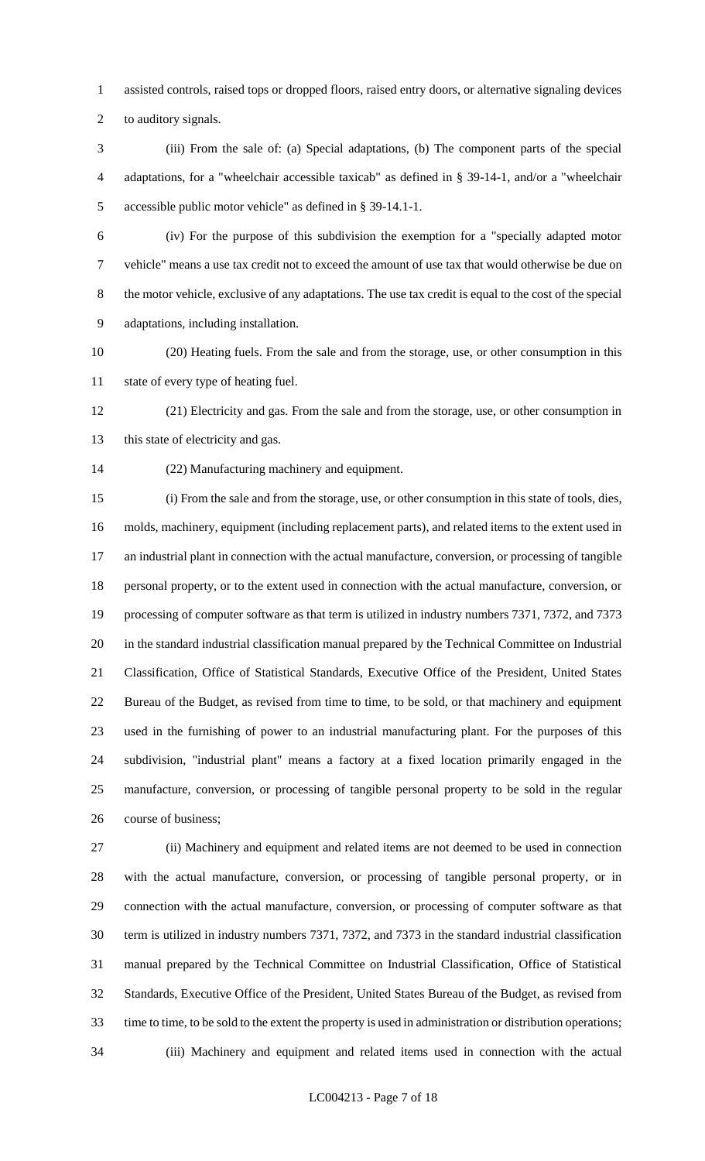assisted controls, raised tops or dropped floors, raised entry doors, or alternative signaling devices

to auditory signals.

 (iii) From the sale of: (a) Special adaptations, (b) The component parts of the special adaptations, for a "wheelchair accessible taxicab" as defined in § 39-14-1, and/or a "wheelchair accessible public motor vehicle" as defined in § 39-14.1-1.

 (iv) For the purpose of this subdivision the exemption for a "specially adapted motor vehicle" means a use tax credit not to exceed the amount of use tax that would otherwise be due on the motor vehicle, exclusive of any adaptations. The use tax credit is equal to the cost of the special adaptations, including installation.

 (20) Heating fuels. From the sale and from the storage, use, or other consumption in this state of every type of heating fuel.

 (21) Electricity and gas. From the sale and from the storage, use, or other consumption in 13 this state of electricity and gas.

(22) Manufacturing machinery and equipment.

 (i) From the sale and from the storage, use, or other consumption in this state of tools, dies, molds, machinery, equipment (including replacement parts), and related items to the extent used in an industrial plant in connection with the actual manufacture, conversion, or processing of tangible personal property, or to the extent used in connection with the actual manufacture, conversion, or processing of computer software as that term is utilized in industry numbers 7371, 7372, and 7373 in the standard industrial classification manual prepared by the Technical Committee on Industrial Classification, Office of Statistical Standards, Executive Office of the President, United States Bureau of the Budget, as revised from time to time, to be sold, or that machinery and equipment used in the furnishing of power to an industrial manufacturing plant. For the purposes of this subdivision, "industrial plant" means a factory at a fixed location primarily engaged in the manufacture, conversion, or processing of tangible personal property to be sold in the regular course of business;

 (ii) Machinery and equipment and related items are not deemed to be used in connection with the actual manufacture, conversion, or processing of tangible personal property, or in connection with the actual manufacture, conversion, or processing of computer software as that term is utilized in industry numbers 7371, 7372, and 7373 in the standard industrial classification manual prepared by the Technical Committee on Industrial Classification, Office of Statistical Standards, Executive Office of the President, United States Bureau of the Budget, as revised from time to time, to be sold to the extent the property is used in administration or distribution operations; (iii) Machinery and equipment and related items used in connection with the actual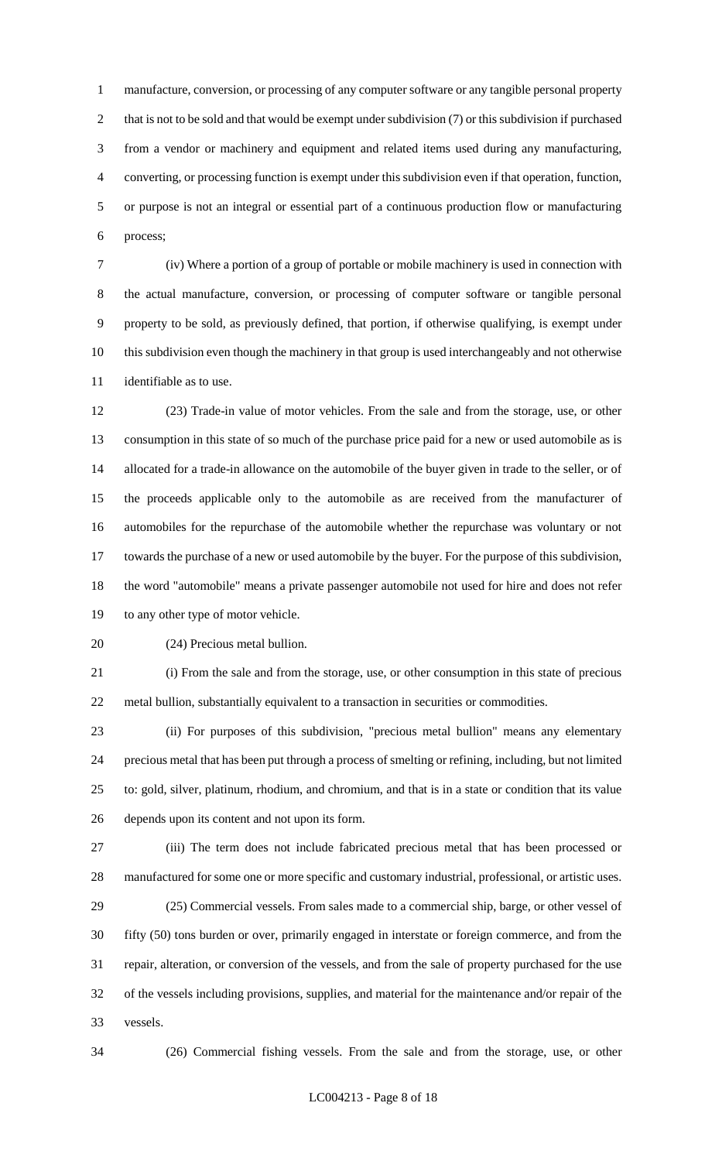manufacture, conversion, or processing of any computer software or any tangible personal property 2 that is not to be sold and that would be exempt under subdivision (7) or this subdivision if purchased from a vendor or machinery and equipment and related items used during any manufacturing, converting, or processing function is exempt under this subdivision even if that operation, function, or purpose is not an integral or essential part of a continuous production flow or manufacturing process;

 (iv) Where a portion of a group of portable or mobile machinery is used in connection with the actual manufacture, conversion, or processing of computer software or tangible personal property to be sold, as previously defined, that portion, if otherwise qualifying, is exempt under this subdivision even though the machinery in that group is used interchangeably and not otherwise identifiable as to use.

 (23) Trade-in value of motor vehicles. From the sale and from the storage, use, or other consumption in this state of so much of the purchase price paid for a new or used automobile as is allocated for a trade-in allowance on the automobile of the buyer given in trade to the seller, or of the proceeds applicable only to the automobile as are received from the manufacturer of automobiles for the repurchase of the automobile whether the repurchase was voluntary or not towards the purchase of a new or used automobile by the buyer. For the purpose of this subdivision, the word "automobile" means a private passenger automobile not used for hire and does not refer to any other type of motor vehicle.

(24) Precious metal bullion.

 (i) From the sale and from the storage, use, or other consumption in this state of precious metal bullion, substantially equivalent to a transaction in securities or commodities.

 (ii) For purposes of this subdivision, "precious metal bullion" means any elementary precious metal that has been put through a process of smelting or refining, including, but not limited to: gold, silver, platinum, rhodium, and chromium, and that is in a state or condition that its value depends upon its content and not upon its form.

 (iii) The term does not include fabricated precious metal that has been processed or manufactured for some one or more specific and customary industrial, professional, or artistic uses. (25) Commercial vessels. From sales made to a commercial ship, barge, or other vessel of

 fifty (50) tons burden or over, primarily engaged in interstate or foreign commerce, and from the repair, alteration, or conversion of the vessels, and from the sale of property purchased for the use of the vessels including provisions, supplies, and material for the maintenance and/or repair of the vessels.

(26) Commercial fishing vessels. From the sale and from the storage, use, or other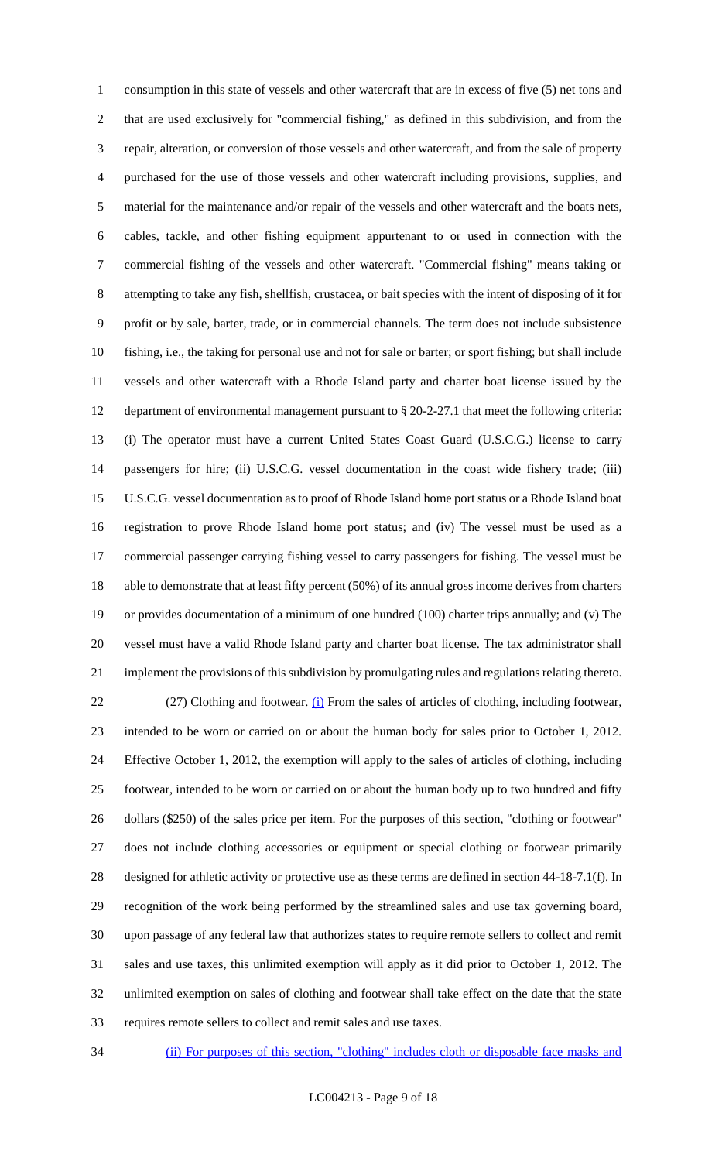consumption in this state of vessels and other watercraft that are in excess of five (5) net tons and that are used exclusively for "commercial fishing," as defined in this subdivision, and from the repair, alteration, or conversion of those vessels and other watercraft, and from the sale of property purchased for the use of those vessels and other watercraft including provisions, supplies, and material for the maintenance and/or repair of the vessels and other watercraft and the boats nets, cables, tackle, and other fishing equipment appurtenant to or used in connection with the commercial fishing of the vessels and other watercraft. "Commercial fishing" means taking or attempting to take any fish, shellfish, crustacea, or bait species with the intent of disposing of it for profit or by sale, barter, trade, or in commercial channels. The term does not include subsistence fishing, i.e., the taking for personal use and not for sale or barter; or sport fishing; but shall include vessels and other watercraft with a Rhode Island party and charter boat license issued by the department of environmental management pursuant to § 20-2-27.1 that meet the following criteria: (i) The operator must have a current United States Coast Guard (U.S.C.G.) license to carry passengers for hire; (ii) U.S.C.G. vessel documentation in the coast wide fishery trade; (iii) U.S.C.G. vessel documentation as to proof of Rhode Island home port status or a Rhode Island boat registration to prove Rhode Island home port status; and (iv) The vessel must be used as a commercial passenger carrying fishing vessel to carry passengers for fishing. The vessel must be able to demonstrate that at least fifty percent (50%) of its annual gross income derives from charters or provides documentation of a minimum of one hundred (100) charter trips annually; and (v) The vessel must have a valid Rhode Island party and charter boat license. The tax administrator shall implement the provisions of this subdivision by promulgating rules and regulations relating thereto. 22 (27) Clothing and footwear. (i) From the sales of articles of clothing, including footwear, intended to be worn or carried on or about the human body for sales prior to October 1, 2012. Effective October 1, 2012, the exemption will apply to the sales of articles of clothing, including footwear, intended to be worn or carried on or about the human body up to two hundred and fifty dollars (\$250) of the sales price per item. For the purposes of this section, "clothing or footwear" does not include clothing accessories or equipment or special clothing or footwear primarily designed for athletic activity or protective use as these terms are defined in section 44-18-7.1(f). In recognition of the work being performed by the streamlined sales and use tax governing board, upon passage of any federal law that authorizes states to require remote sellers to collect and remit sales and use taxes, this unlimited exemption will apply as it did prior to October 1, 2012. The unlimited exemption on sales of clothing and footwear shall take effect on the date that the state requires remote sellers to collect and remit sales and use taxes.

(ii) For purposes of this section, "clothing" includes cloth or disposable face masks and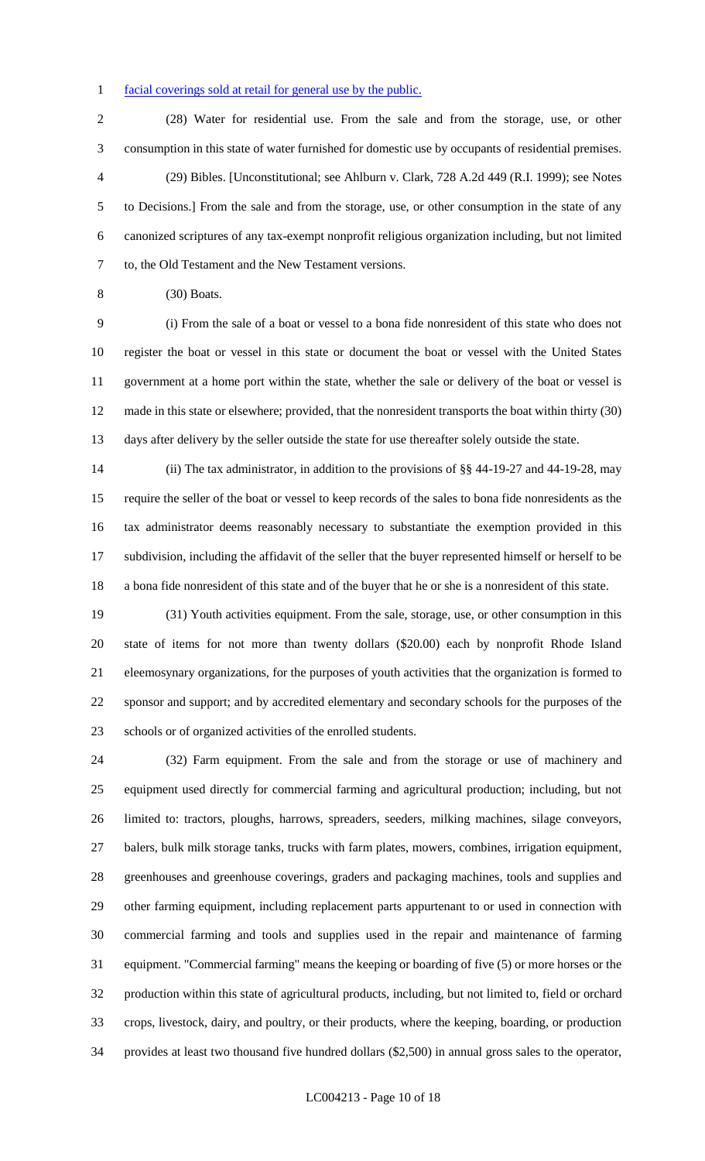#### facial coverings sold at retail for general use by the public.

 (28) Water for residential use. From the sale and from the storage, use, or other consumption in this state of water furnished for domestic use by occupants of residential premises. (29) Bibles. [Unconstitutional; see Ahlburn v. Clark, 728 A.2d 449 (R.I. 1999); see Notes to Decisions.] From the sale and from the storage, use, or other consumption in the state of any canonized scriptures of any tax-exempt nonprofit religious organization including, but not limited to, the Old Testament and the New Testament versions.

(30) Boats.

 (i) From the sale of a boat or vessel to a bona fide nonresident of this state who does not register the boat or vessel in this state or document the boat or vessel with the United States government at a home port within the state, whether the sale or delivery of the boat or vessel is made in this state or elsewhere; provided, that the nonresident transports the boat within thirty (30) days after delivery by the seller outside the state for use thereafter solely outside the state.

 (ii) The tax administrator, in addition to the provisions of §§ 44-19-27 and 44-19-28, may require the seller of the boat or vessel to keep records of the sales to bona fide nonresidents as the tax administrator deems reasonably necessary to substantiate the exemption provided in this subdivision, including the affidavit of the seller that the buyer represented himself or herself to be a bona fide nonresident of this state and of the buyer that he or she is a nonresident of this state.

 (31) Youth activities equipment. From the sale, storage, use, or other consumption in this state of items for not more than twenty dollars (\$20.00) each by nonprofit Rhode Island eleemosynary organizations, for the purposes of youth activities that the organization is formed to sponsor and support; and by accredited elementary and secondary schools for the purposes of the schools or of organized activities of the enrolled students.

 (32) Farm equipment. From the sale and from the storage or use of machinery and equipment used directly for commercial farming and agricultural production; including, but not limited to: tractors, ploughs, harrows, spreaders, seeders, milking machines, silage conveyors, balers, bulk milk storage tanks, trucks with farm plates, mowers, combines, irrigation equipment, greenhouses and greenhouse coverings, graders and packaging machines, tools and supplies and other farming equipment, including replacement parts appurtenant to or used in connection with commercial farming and tools and supplies used in the repair and maintenance of farming equipment. "Commercial farming" means the keeping or boarding of five (5) or more horses or the production within this state of agricultural products, including, but not limited to, field or orchard crops, livestock, dairy, and poultry, or their products, where the keeping, boarding, or production provides at least two thousand five hundred dollars (\$2,500) in annual gross sales to the operator,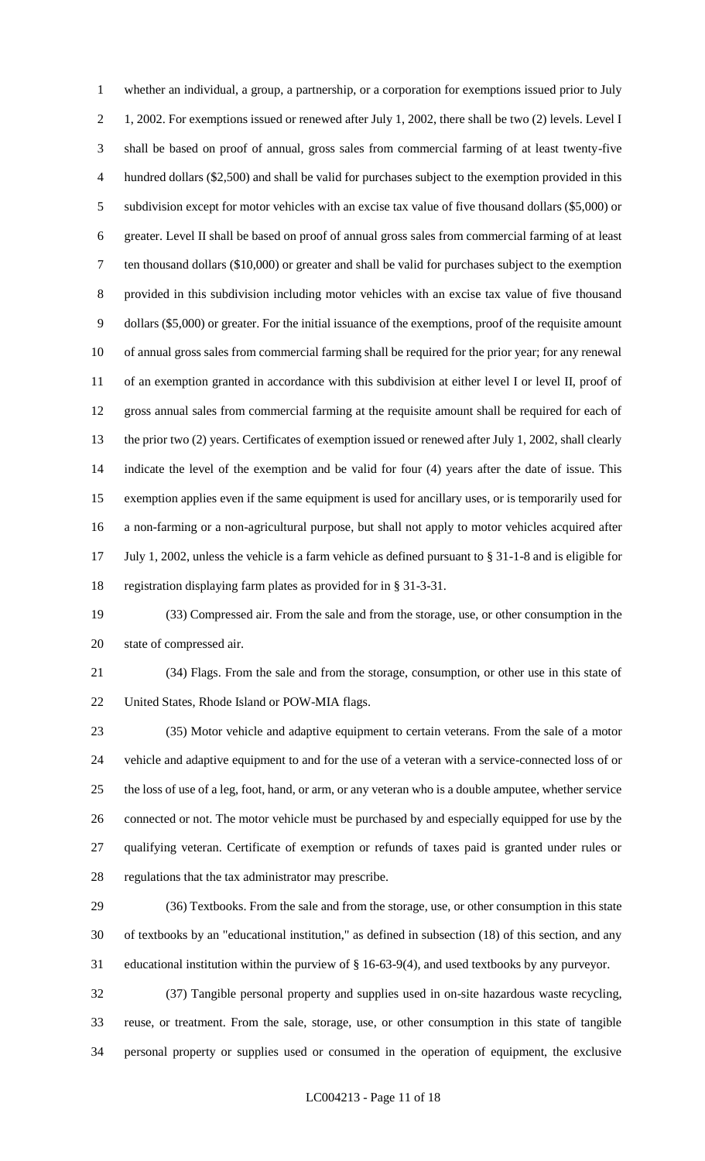whether an individual, a group, a partnership, or a corporation for exemptions issued prior to July 1, 2002. For exemptions issued or renewed after July 1, 2002, there shall be two (2) levels. Level I shall be based on proof of annual, gross sales from commercial farming of at least twenty-five hundred dollars (\$2,500) and shall be valid for purchases subject to the exemption provided in this subdivision except for motor vehicles with an excise tax value of five thousand dollars (\$5,000) or greater. Level II shall be based on proof of annual gross sales from commercial farming of at least ten thousand dollars (\$10,000) or greater and shall be valid for purchases subject to the exemption provided in this subdivision including motor vehicles with an excise tax value of five thousand dollars (\$5,000) or greater. For the initial issuance of the exemptions, proof of the requisite amount of annual gross sales from commercial farming shall be required for the prior year; for any renewal of an exemption granted in accordance with this subdivision at either level I or level II, proof of gross annual sales from commercial farming at the requisite amount shall be required for each of the prior two (2) years. Certificates of exemption issued or renewed after July 1, 2002, shall clearly indicate the level of the exemption and be valid for four (4) years after the date of issue. This exemption applies even if the same equipment is used for ancillary uses, or is temporarily used for a non-farming or a non-agricultural purpose, but shall not apply to motor vehicles acquired after July 1, 2002, unless the vehicle is a farm vehicle as defined pursuant to § 31-1-8 and is eligible for registration displaying farm plates as provided for in § 31-3-31.

 (33) Compressed air. From the sale and from the storage, use, or other consumption in the state of compressed air.

 (34) Flags. From the sale and from the storage, consumption, or other use in this state of United States, Rhode Island or POW-MIA flags.

 (35) Motor vehicle and adaptive equipment to certain veterans. From the sale of a motor vehicle and adaptive equipment to and for the use of a veteran with a service-connected loss of or the loss of use of a leg, foot, hand, or arm, or any veteran who is a double amputee, whether service connected or not. The motor vehicle must be purchased by and especially equipped for use by the qualifying veteran. Certificate of exemption or refunds of taxes paid is granted under rules or regulations that the tax administrator may prescribe.

 (36) Textbooks. From the sale and from the storage, use, or other consumption in this state of textbooks by an "educational institution," as defined in subsection (18) of this section, and any educational institution within the purview of § 16-63-9(4), and used textbooks by any purveyor.

 (37) Tangible personal property and supplies used in on-site hazardous waste recycling, reuse, or treatment. From the sale, storage, use, or other consumption in this state of tangible personal property or supplies used or consumed in the operation of equipment, the exclusive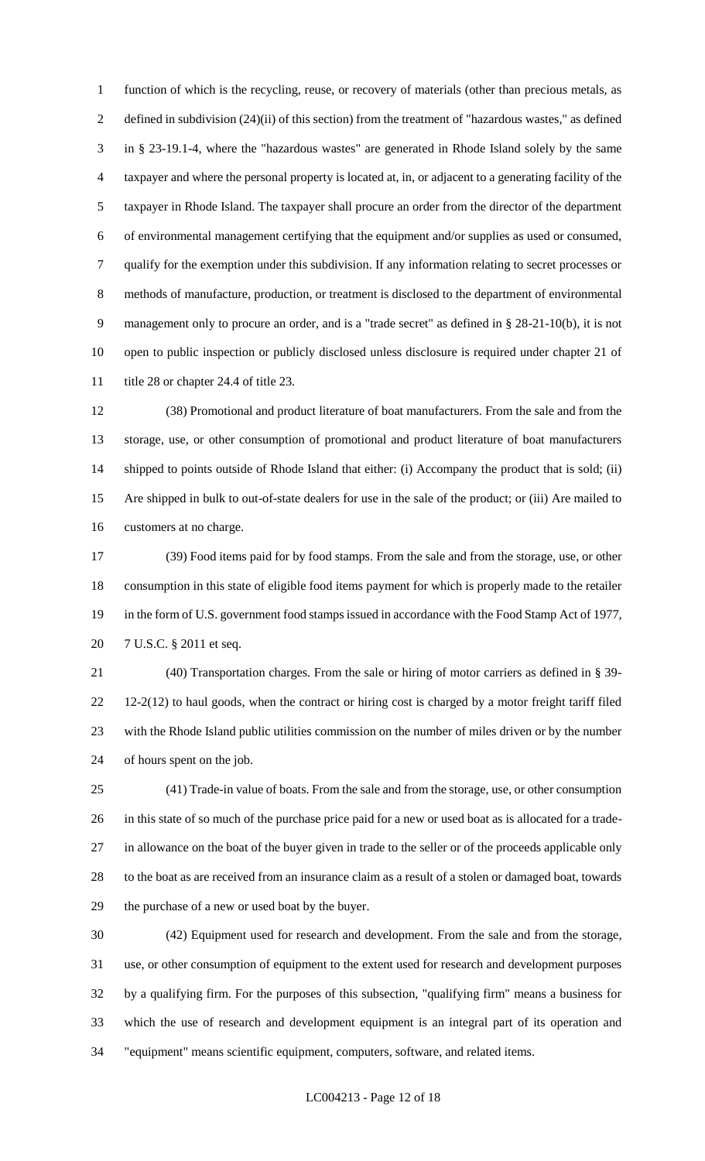function of which is the recycling, reuse, or recovery of materials (other than precious metals, as defined in subdivision (24)(ii) of this section) from the treatment of "hazardous wastes," as defined in § 23-19.1-4, where the "hazardous wastes" are generated in Rhode Island solely by the same taxpayer and where the personal property is located at, in, or adjacent to a generating facility of the taxpayer in Rhode Island. The taxpayer shall procure an order from the director of the department of environmental management certifying that the equipment and/or supplies as used or consumed, qualify for the exemption under this subdivision. If any information relating to secret processes or methods of manufacture, production, or treatment is disclosed to the department of environmental management only to procure an order, and is a "trade secret" as defined in § 28-21-10(b), it is not open to public inspection or publicly disclosed unless disclosure is required under chapter 21 of 11 title 28 or chapter 24.4 of title 23.

 (38) Promotional and product literature of boat manufacturers. From the sale and from the storage, use, or other consumption of promotional and product literature of boat manufacturers shipped to points outside of Rhode Island that either: (i) Accompany the product that is sold; (ii) Are shipped in bulk to out-of-state dealers for use in the sale of the product; or (iii) Are mailed to customers at no charge.

 (39) Food items paid for by food stamps. From the sale and from the storage, use, or other consumption in this state of eligible food items payment for which is properly made to the retailer in the form of U.S. government food stamps issued in accordance with the Food Stamp Act of 1977, 7 U.S.C. § 2011 et seq.

 (40) Transportation charges. From the sale or hiring of motor carriers as defined in § 39- 12-2(12) to haul goods, when the contract or hiring cost is charged by a motor freight tariff filed with the Rhode Island public utilities commission on the number of miles driven or by the number of hours spent on the job.

 (41) Trade-in value of boats. From the sale and from the storage, use, or other consumption in this state of so much of the purchase price paid for a new or used boat as is allocated for a trade- in allowance on the boat of the buyer given in trade to the seller or of the proceeds applicable only to the boat as are received from an insurance claim as a result of a stolen or damaged boat, towards the purchase of a new or used boat by the buyer.

 (42) Equipment used for research and development. From the sale and from the storage, use, or other consumption of equipment to the extent used for research and development purposes by a qualifying firm. For the purposes of this subsection, "qualifying firm" means a business for which the use of research and development equipment is an integral part of its operation and "equipment" means scientific equipment, computers, software, and related items.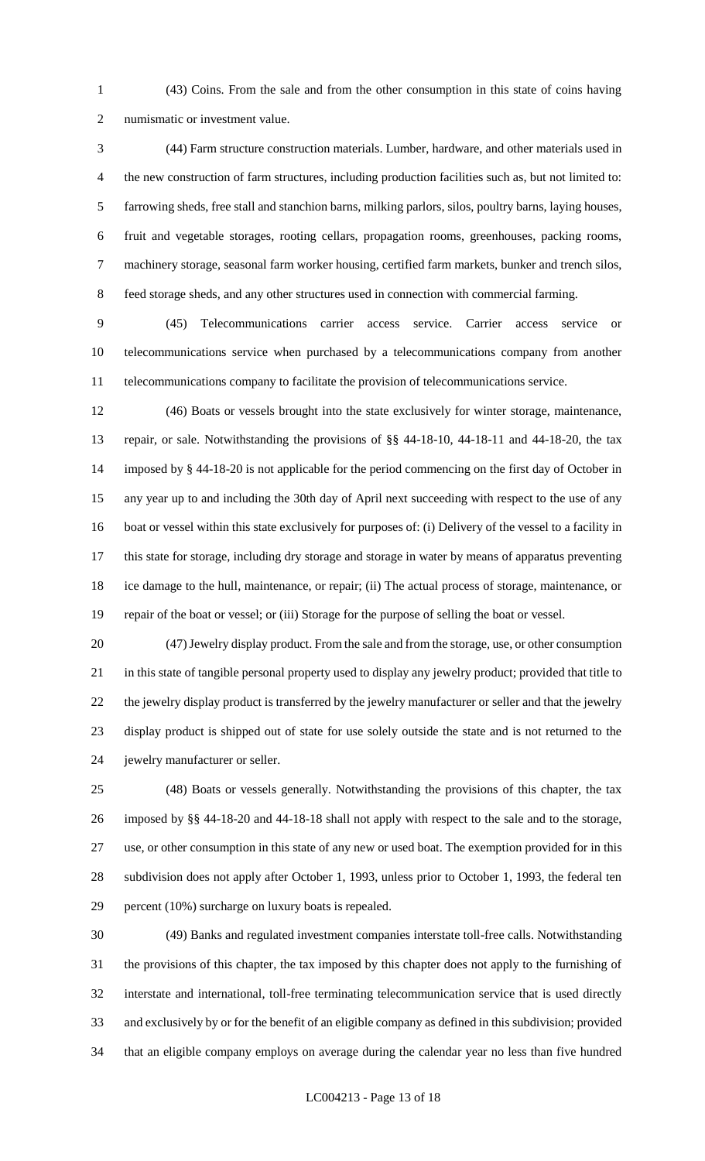(43) Coins. From the sale and from the other consumption in this state of coins having numismatic or investment value.

 (44) Farm structure construction materials. Lumber, hardware, and other materials used in the new construction of farm structures, including production facilities such as, but not limited to: farrowing sheds, free stall and stanchion barns, milking parlors, silos, poultry barns, laying houses, fruit and vegetable storages, rooting cellars, propagation rooms, greenhouses, packing rooms, machinery storage, seasonal farm worker housing, certified farm markets, bunker and trench silos, feed storage sheds, and any other structures used in connection with commercial farming.

 (45) Telecommunications carrier access service. Carrier access service or telecommunications service when purchased by a telecommunications company from another telecommunications company to facilitate the provision of telecommunications service.

 (46) Boats or vessels brought into the state exclusively for winter storage, maintenance, repair, or sale. Notwithstanding the provisions of §§ 44-18-10, 44-18-11 and 44-18-20, the tax imposed by § 44-18-20 is not applicable for the period commencing on the first day of October in any year up to and including the 30th day of April next succeeding with respect to the use of any boat or vessel within this state exclusively for purposes of: (i) Delivery of the vessel to a facility in this state for storage, including dry storage and storage in water by means of apparatus preventing ice damage to the hull, maintenance, or repair; (ii) The actual process of storage, maintenance, or repair of the boat or vessel; or (iii) Storage for the purpose of selling the boat or vessel.

 (47) Jewelry display product. From the sale and from the storage, use, or other consumption in this state of tangible personal property used to display any jewelry product; provided that title to the jewelry display product is transferred by the jewelry manufacturer or seller and that the jewelry display product is shipped out of state for use solely outside the state and is not returned to the jewelry manufacturer or seller.

 (48) Boats or vessels generally. Notwithstanding the provisions of this chapter, the tax imposed by §§ 44-18-20 and 44-18-18 shall not apply with respect to the sale and to the storage, use, or other consumption in this state of any new or used boat. The exemption provided for in this subdivision does not apply after October 1, 1993, unless prior to October 1, 1993, the federal ten percent (10%) surcharge on luxury boats is repealed.

 (49) Banks and regulated investment companies interstate toll-free calls. Notwithstanding the provisions of this chapter, the tax imposed by this chapter does not apply to the furnishing of interstate and international, toll-free terminating telecommunication service that is used directly and exclusively by or for the benefit of an eligible company as defined in this subdivision; provided that an eligible company employs on average during the calendar year no less than five hundred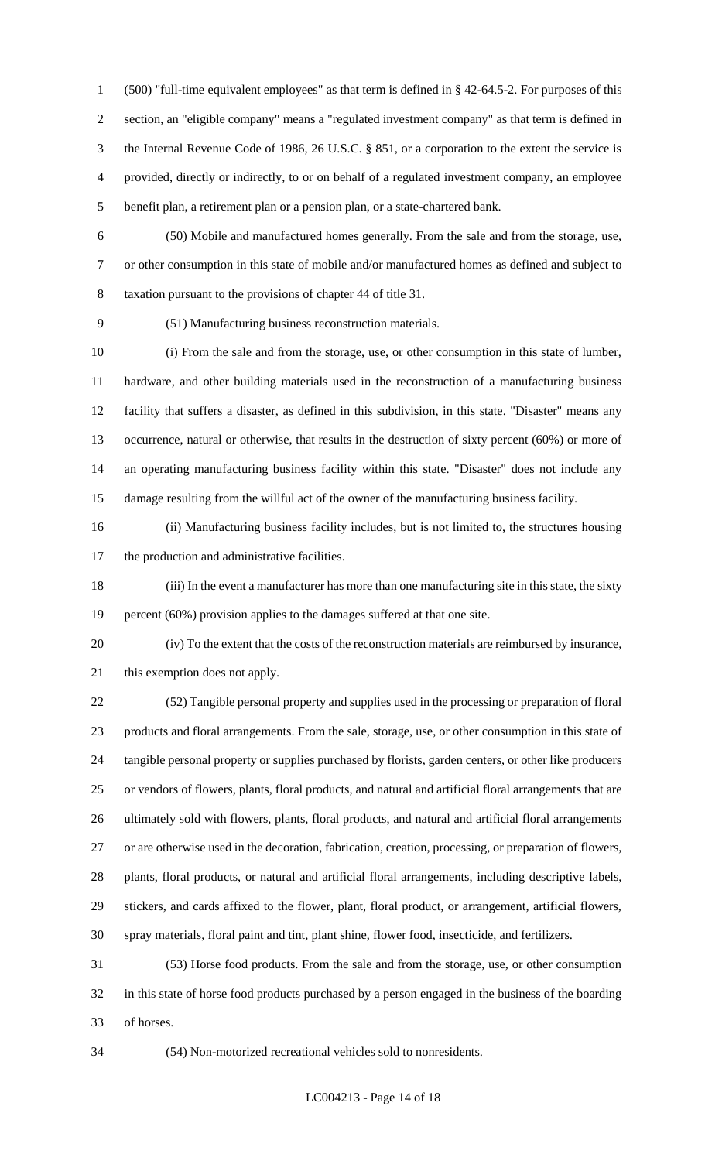(500) "full-time equivalent employees" as that term is defined in § 42-64.5-2. For purposes of this section, an "eligible company" means a "regulated investment company" as that term is defined in the Internal Revenue Code of 1986, 26 U.S.C. § 851, or a corporation to the extent the service is provided, directly or indirectly, to or on behalf of a regulated investment company, an employee benefit plan, a retirement plan or a pension plan, or a state-chartered bank.

 (50) Mobile and manufactured homes generally. From the sale and from the storage, use, or other consumption in this state of mobile and/or manufactured homes as defined and subject to taxation pursuant to the provisions of chapter 44 of title 31.

(51) Manufacturing business reconstruction materials.

 (i) From the sale and from the storage, use, or other consumption in this state of lumber, hardware, and other building materials used in the reconstruction of a manufacturing business facility that suffers a disaster, as defined in this subdivision, in this state. "Disaster" means any occurrence, natural or otherwise, that results in the destruction of sixty percent (60%) or more of an operating manufacturing business facility within this state. "Disaster" does not include any damage resulting from the willful act of the owner of the manufacturing business facility.

 (ii) Manufacturing business facility includes, but is not limited to, the structures housing the production and administrative facilities.

 (iii) In the event a manufacturer has more than one manufacturing site in this state, the sixty 19 percent (60%) provision applies to the damages suffered at that one site.

 (iv) To the extent that the costs of the reconstruction materials are reimbursed by insurance, this exemption does not apply.

 (52) Tangible personal property and supplies used in the processing or preparation of floral products and floral arrangements. From the sale, storage, use, or other consumption in this state of tangible personal property or supplies purchased by florists, garden centers, or other like producers or vendors of flowers, plants, floral products, and natural and artificial floral arrangements that are ultimately sold with flowers, plants, floral products, and natural and artificial floral arrangements or are otherwise used in the decoration, fabrication, creation, processing, or preparation of flowers, plants, floral products, or natural and artificial floral arrangements, including descriptive labels, stickers, and cards affixed to the flower, plant, floral product, or arrangement, artificial flowers, spray materials, floral paint and tint, plant shine, flower food, insecticide, and fertilizers.

 (53) Horse food products. From the sale and from the storage, use, or other consumption in this state of horse food products purchased by a person engaged in the business of the boarding of horses.

(54) Non-motorized recreational vehicles sold to nonresidents.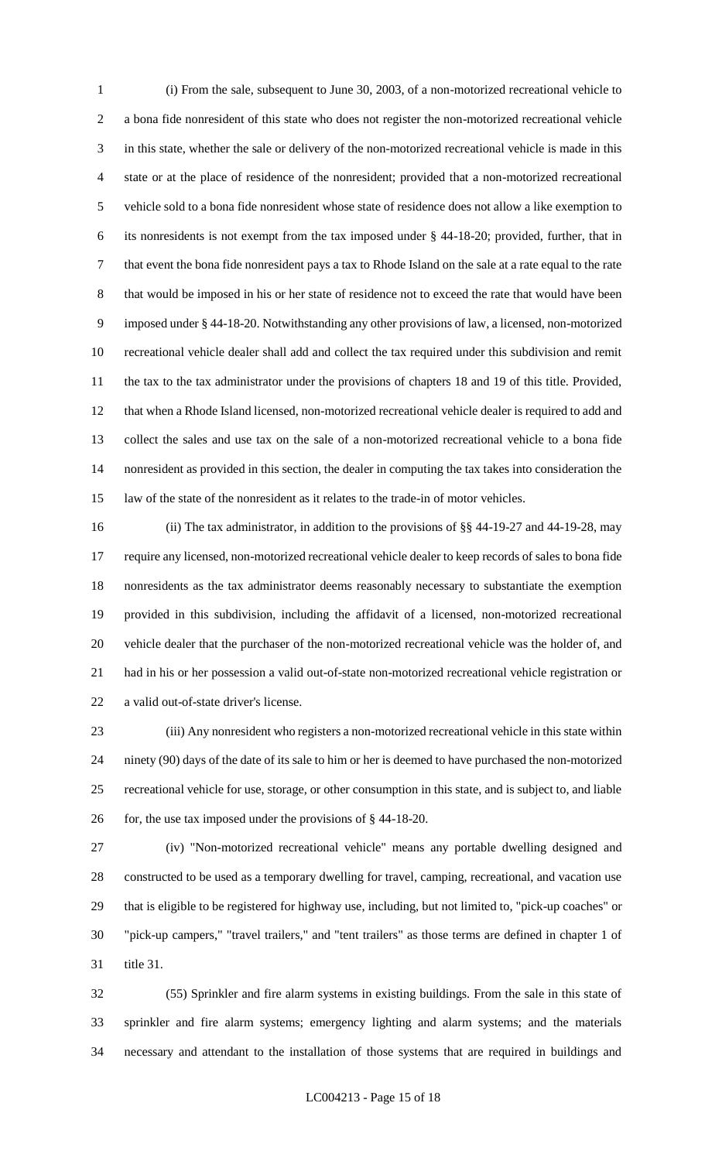(i) From the sale, subsequent to June 30, 2003, of a non-motorized recreational vehicle to a bona fide nonresident of this state who does not register the non-motorized recreational vehicle in this state, whether the sale or delivery of the non-motorized recreational vehicle is made in this state or at the place of residence of the nonresident; provided that a non-motorized recreational vehicle sold to a bona fide nonresident whose state of residence does not allow a like exemption to its nonresidents is not exempt from the tax imposed under § 44-18-20; provided, further, that in that event the bona fide nonresident pays a tax to Rhode Island on the sale at a rate equal to the rate that would be imposed in his or her state of residence not to exceed the rate that would have been imposed under § 44-18-20. Notwithstanding any other provisions of law, a licensed, non-motorized recreational vehicle dealer shall add and collect the tax required under this subdivision and remit the tax to the tax administrator under the provisions of chapters 18 and 19 of this title. Provided, that when a Rhode Island licensed, non-motorized recreational vehicle dealer is required to add and collect the sales and use tax on the sale of a non-motorized recreational vehicle to a bona fide nonresident as provided in this section, the dealer in computing the tax takes into consideration the law of the state of the nonresident as it relates to the trade-in of motor vehicles.

 (ii) The tax administrator, in addition to the provisions of §§ 44-19-27 and 44-19-28, may require any licensed, non-motorized recreational vehicle dealer to keep records of sales to bona fide nonresidents as the tax administrator deems reasonably necessary to substantiate the exemption provided in this subdivision, including the affidavit of a licensed, non-motorized recreational vehicle dealer that the purchaser of the non-motorized recreational vehicle was the holder of, and had in his or her possession a valid out-of-state non-motorized recreational vehicle registration or a valid out-of-state driver's license.

 (iii) Any nonresident who registers a non-motorized recreational vehicle in this state within ninety (90) days of the date of its sale to him or her is deemed to have purchased the non-motorized recreational vehicle for use, storage, or other consumption in this state, and is subject to, and liable 26 for, the use tax imposed under the provisions of § 44-18-20.

 (iv) "Non-motorized recreational vehicle" means any portable dwelling designed and constructed to be used as a temporary dwelling for travel, camping, recreational, and vacation use that is eligible to be registered for highway use, including, but not limited to, "pick-up coaches" or "pick-up campers," "travel trailers," and "tent trailers" as those terms are defined in chapter 1 of title 31.

 (55) Sprinkler and fire alarm systems in existing buildings. From the sale in this state of sprinkler and fire alarm systems; emergency lighting and alarm systems; and the materials necessary and attendant to the installation of those systems that are required in buildings and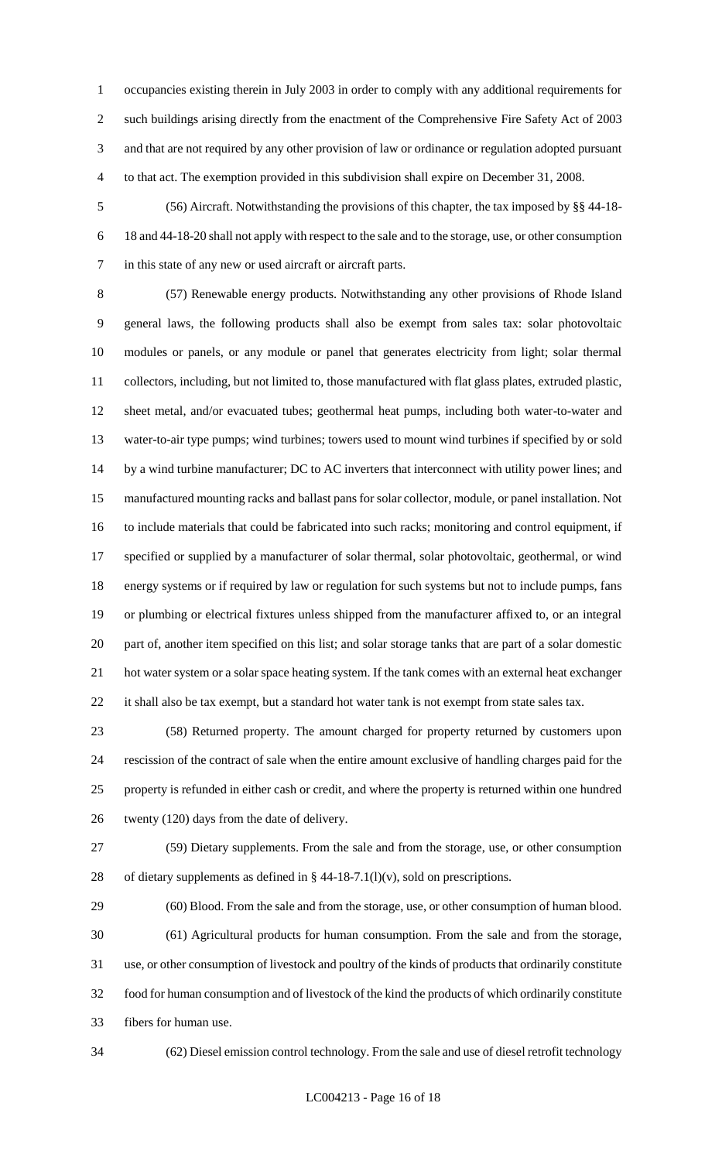occupancies existing therein in July 2003 in order to comply with any additional requirements for such buildings arising directly from the enactment of the Comprehensive Fire Safety Act of 2003 and that are not required by any other provision of law or ordinance or regulation adopted pursuant to that act. The exemption provided in this subdivision shall expire on December 31, 2008.

 (56) Aircraft. Notwithstanding the provisions of this chapter, the tax imposed by §§ 44-18- 18 and 44-18-20 shall not apply with respect to the sale and to the storage, use, or other consumption in this state of any new or used aircraft or aircraft parts.

 (57) Renewable energy products. Notwithstanding any other provisions of Rhode Island general laws, the following products shall also be exempt from sales tax: solar photovoltaic modules or panels, or any module or panel that generates electricity from light; solar thermal collectors, including, but not limited to, those manufactured with flat glass plates, extruded plastic, sheet metal, and/or evacuated tubes; geothermal heat pumps, including both water-to-water and water-to-air type pumps; wind turbines; towers used to mount wind turbines if specified by or sold 14 by a wind turbine manufacturer; DC to AC inverters that interconnect with utility power lines; and manufactured mounting racks and ballast pans for solar collector, module, or panel installation. Not to include materials that could be fabricated into such racks; monitoring and control equipment, if specified or supplied by a manufacturer of solar thermal, solar photovoltaic, geothermal, or wind energy systems or if required by law or regulation for such systems but not to include pumps, fans or plumbing or electrical fixtures unless shipped from the manufacturer affixed to, or an integral part of, another item specified on this list; and solar storage tanks that are part of a solar domestic hot water system or a solar space heating system. If the tank comes with an external heat exchanger 22 it shall also be tax exempt, but a standard hot water tank is not exempt from state sales tax.

 (58) Returned property. The amount charged for property returned by customers upon rescission of the contract of sale when the entire amount exclusive of handling charges paid for the property is refunded in either cash or credit, and where the property is returned within one hundred twenty (120) days from the date of delivery.

 (59) Dietary supplements. From the sale and from the storage, use, or other consumption 28 of dietary supplements as defined in  $\S$  44-18-7.1(l)(v), sold on prescriptions.

 (60) Blood. From the sale and from the storage, use, or other consumption of human blood. (61) Agricultural products for human consumption. From the sale and from the storage, use, or other consumption of livestock and poultry of the kinds of products that ordinarily constitute food for human consumption and of livestock of the kind the products of which ordinarily constitute fibers for human use.

(62) Diesel emission control technology. From the sale and use of diesel retrofit technology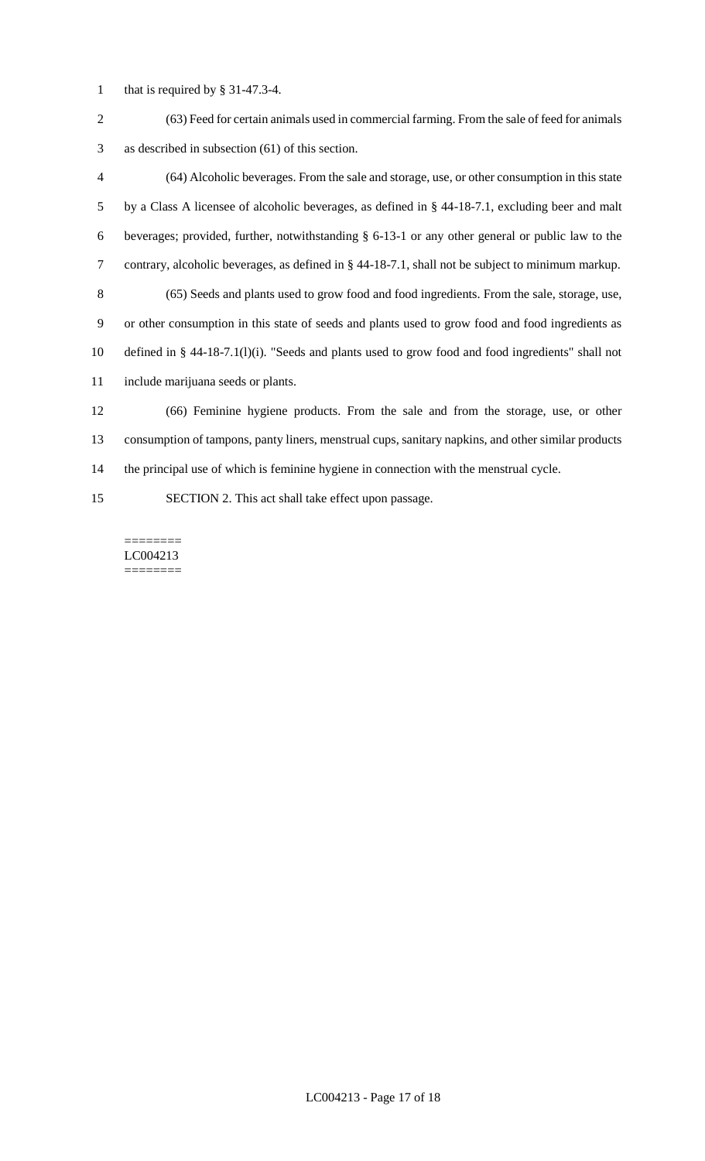- that is required by § 31-47.3-4.
- (63) Feed for certain animals used in commercial farming. From the sale of feed for animals as described in subsection (61) of this section.
- (64) Alcoholic beverages. From the sale and storage, use, or other consumption in this state by a Class A licensee of alcoholic beverages, as defined in § 44-18-7.1, excluding beer and malt beverages; provided, further, notwithstanding § 6-13-1 or any other general or public law to the contrary, alcoholic beverages, as defined in § 44-18-7.1, shall not be subject to minimum markup. (65) Seeds and plants used to grow food and food ingredients. From the sale, storage, use, or other consumption in this state of seeds and plants used to grow food and food ingredients as defined in § 44-18-7.1(l)(i). "Seeds and plants used to grow food and food ingredients" shall not include marijuana seeds or plants. (66) Feminine hygiene products. From the sale and from the storage, use, or other consumption of tampons, panty liners, menstrual cups, sanitary napkins, and other similar products the principal use of which is feminine hygiene in connection with the menstrual cycle.
- SECTION 2. This act shall take effect upon passage.

======== LC004213 ========